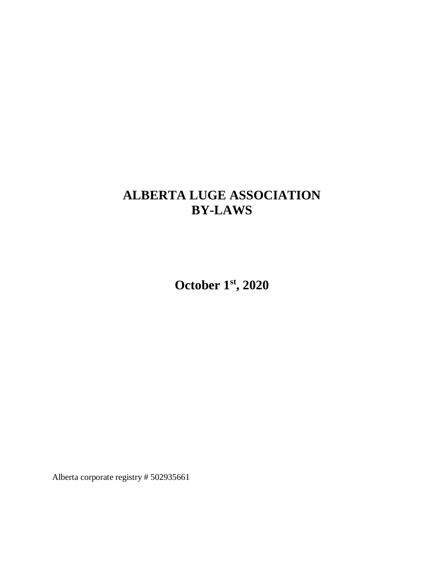# **ALBERTA LUGE ASSOCIATION BY-LAWS**

**October 1st, 2020**

Alberta corporate registry # 502935661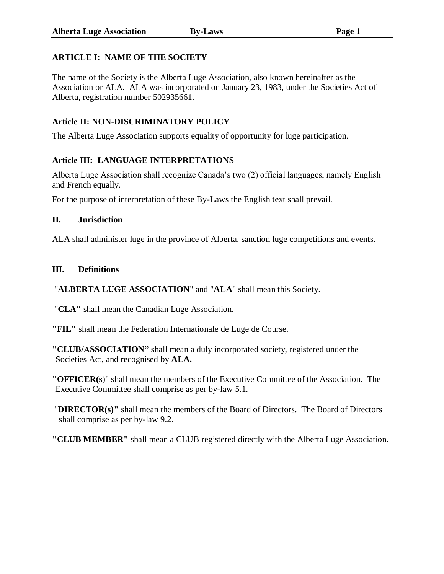# **ARTICLE I: NAME OF THE SOCIETY**

The name of the Society is the Alberta Luge Association, also known hereinafter as the Association or ALA. ALA was incorporated on January 23, 1983, under the Societies Act of Alberta, registration number 502935661.

# **Article II: NON-DISCRIMINATORY POLICY**

The Alberta Luge Association supports equality of opportunity for luge participation.

# **Article III: LANGUAGE INTERPRETATIONS**

Alberta Luge Association shall recognize Canada's two (2) official languages, namely English and French equally.

For the purpose of interpretation of these By-Laws the English text shall prevail.

# **II. Jurisdiction**

ALA shall administer luge in the province of Alberta, sanction luge competitions and events.

# **III. Definitions**

# "**ALBERTA LUGE ASSOCIATION**" and "**ALA**" shall mean this Society.

"**CLA"** shall mean the Canadian Luge Association.

**"FIL"** shall mean the Federation Internationale de Luge de Course.

**"CLUB/ASSOCIATION"** shall mean a duly incorporated society, registered under the Societies Act, and recognised by **ALA.**

**"OFFICER(s**)" shall mean the members of the Executive Committee of the Association. The Executive Committee shall comprise as per by-law 5.1.

"**DIRECTOR(s)"** shall mean the members of the Board of Directors. The Board of Directors shall comprise as per by-law 9.2.

**"CLUB MEMBER"** shall mean a CLUB registered directly with the Alberta Luge Association.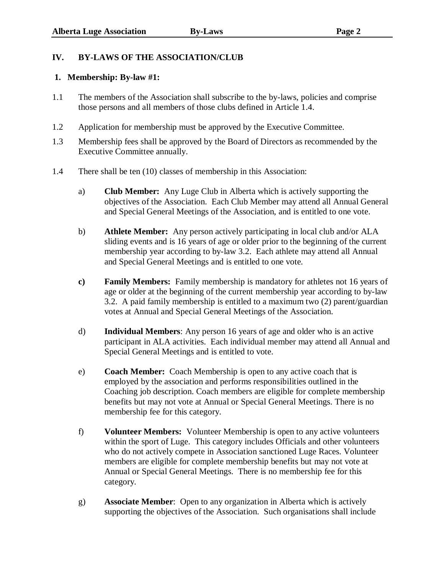# **IV. BY-LAWS OF THE ASSOCIATION/CLUB**

#### **1. Membership: By-law #1:**

- 1.1 The members of the Association shall subscribe to the by-laws, policies and comprise those persons and all members of those clubs defined in Article 1.4.
- 1.2 Application for membership must be approved by the Executive Committee.
- 1.3 Membership fees shall be approved by the Board of Directors as recommended by the Executive Committee annually.
- 1.4 There shall be ten (10) classes of membership in this Association:
	- a) **Club Member:** Any Luge Club in Alberta which is actively supporting the objectives of the Association. Each Club Member may attend all Annual General and Special General Meetings of the Association, and is entitled to one vote.
	- b) **Athlete Member:** Any person actively participating in local club and/or ALA sliding events and is 16 years of age or older prior to the beginning of the current membership year according to by-law 3.2. Each athlete may attend all Annual and Special General Meetings and is entitled to one vote.
	- **c) Family Members:** Family membership is mandatory for athletes not 16 years of age or older at the beginning of the current membership year according to by-law 3.2. A paid family membership is entitled to a maximum two (2) parent/guardian votes at Annual and Special General Meetings of the Association.
	- d) **Individual Members**: Any person 16 years of age and older who is an active participant in ALA activities. Each individual member may attend all Annual and Special General Meetings and is entitled to vote.
	- e) **Coach Member:** Coach Membership is open to any active coach that is employed by the association and performs responsibilities outlined in the Coaching job description. Coach members are eligible for complete membership benefits but may not vote at Annual or Special General Meetings. There is no membership fee for this category.
	- f) **Volunteer Members:** Volunteer Membership is open to any active volunteers within the sport of Luge. This category includes Officials and other volunteers who do not actively compete in Association sanctioned Luge Races. Volunteer members are eligible for complete membership benefits but may not vote at Annual or Special General Meetings. There is no membership fee for this category.
	- g) **Associate Member**: Open to any organization in Alberta which is actively supporting the objectives of the Association. Such organisations shall include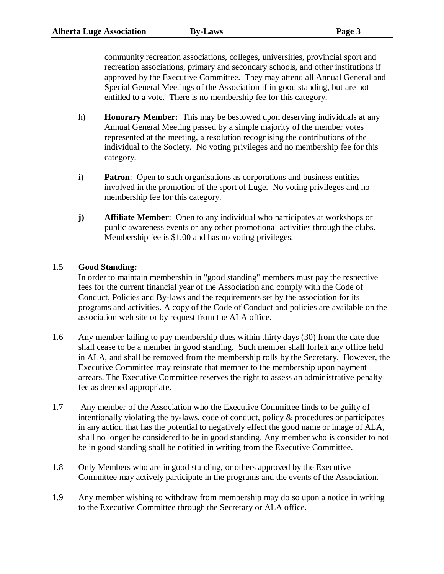community recreation associations, colleges, universities, provincial sport and recreation associations, primary and secondary schools, and other institutions if approved by the Executive Committee. They may attend all Annual General and Special General Meetings of the Association if in good standing, but are not entitled to a vote. There is no membership fee for this category.

- h) **Honorary Member:** This may be bestowed upon deserving individuals at any Annual General Meeting passed by a simple majority of the member votes represented at the meeting, a resolution recognising the contributions of the individual to the Society. No voting privileges and no membership fee for this category.
- i) **Patron**: Open to such organisations as corporations and business entities involved in the promotion of the sport of Luge. No voting privileges and no membership fee for this category.
- **j) Affiliate Member**: Open to any individual who participates at workshops or public awareness events or any other promotional activities through the clubs. Membership fee is \$1.00 and has no voting privileges.

# 1.5 **Good Standing:**

In order to maintain membership in "good standing" members must pay the respective fees for the current financial year of the Association and comply with the Code of Conduct, Policies and By-laws and the requirements set by the association for its programs and activities. A copy of the Code of Conduct and policies are available on the association web site or by request from the ALA office.

- 1.6 Any member failing to pay membership dues within thirty days (30) from the date due shall cease to be a member in good standing. Such member shall forfeit any office held in ALA, and shall be removed from the membership rolls by the Secretary. However, the Executive Committee may reinstate that member to the membership upon payment arrears. The Executive Committee reserves the right to assess an administrative penalty fee as deemed appropriate.
- 1.7 Any member of the Association who the Executive Committee finds to be guilty of intentionally violating the by-laws, code of conduct, policy & procedures or participates in any action that has the potential to negatively effect the good name or image of ALA, shall no longer be considered to be in good standing. Any member who is consider to not be in good standing shall be notified in writing from the Executive Committee.
- 1.8 Only Members who are in good standing, or others approved by the Executive Committee may actively participate in the programs and the events of the Association.
- 1.9 Any member wishing to withdraw from membership may do so upon a notice in writing to the Executive Committee through the Secretary or ALA office.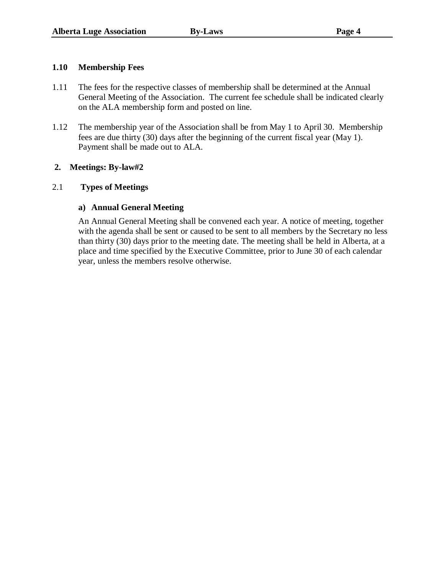### **1.10 Membership Fees**

- 1.11 The fees for the respective classes of membership shall be determined at the Annual General Meeting of the Association. The current fee schedule shall be indicated clearly on the ALA membership form and posted on line.
- 1.12 The membership year of the Association shall be from May 1 to April 30. Membership fees are due thirty (30) days after the beginning of the current fiscal year (May 1). Payment shall be made out to ALA.

## **2. Meetings: By-law#2**

## 2.1 **Types of Meetings**

# **a) Annual General Meeting**

An Annual General Meeting shall be convened each year. A notice of meeting, together with the agenda shall be sent or caused to be sent to all members by the Secretary no less than thirty (30) days prior to the meeting date. The meeting shall be held in Alberta, at a place and time specified by the Executive Committee, prior to June 30 of each calendar year, unless the members resolve otherwise.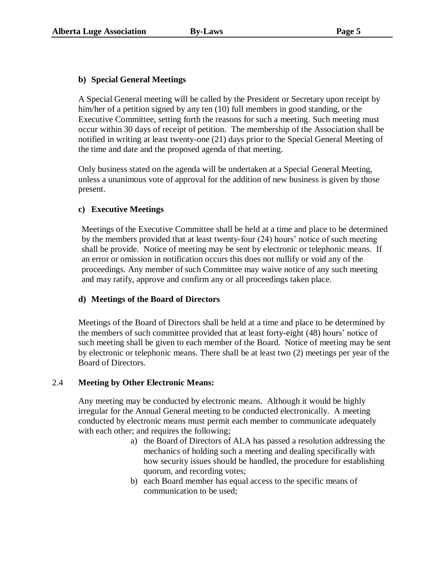# **b) Special General Meetings**

A Special General meeting will be called by the President or Secretary upon receipt by him/her of a petition signed by any ten (10) full members in good standing, or the Executive Committee, setting forth the reasons for such a meeting. Such meeting must occur within 30 days of receipt of petition. The membership of the Association shall be notified in writing at least twenty-one (21) days prior to the Special General Meeting of the time and date and the proposed agenda of that meeting.

Only business stated on the agenda will be undertaken at a Special General Meeting, unless a unanimous vote of approval for the addition of new business is given by those present.

# **c) Executive Meetings**

Meetings of the Executive Committee shall be held at a time and place to be determined by the members provided that at least twenty-four (24) hours' notice of such meeting shall be provide. Notice of meeting may be sent by electronic or telephonic means. If an error or omission in notification occurs this does not nullify or void any of the proceedings. Any member of such Committee may waive notice of any such meeting and may ratify, approve and confirm any or all proceedings taken place.

# **d) Meetings of the Board of Directors**

Meetings of the Board of Directors shall be held at a time and place to be determined by the members of such committee provided that at least forty-eight (48) hours' notice of such meeting shall be given to each member of the Board. Notice of meeting may be sent by electronic or telephonic means. There shall be at least two (2) meetings per year of the Board of Directors.

# 2.4 **Meeting by Other Electronic Means:**

Any meeting may be conducted by electronic means. Although it would be highly irregular for the Annual General meeting to be conducted electronically. A meeting conducted by electronic means must permit each member to communicate adequately with each other; and requires the following;

- a) the Board of Directors of ALA has passed a resolution addressing the mechanics of holding such a meeting and dealing specifically with how security issues should be handled, the procedure for establishing quorum, and recording votes;
- b) each Board member has equal access to the specific means of communication to be used;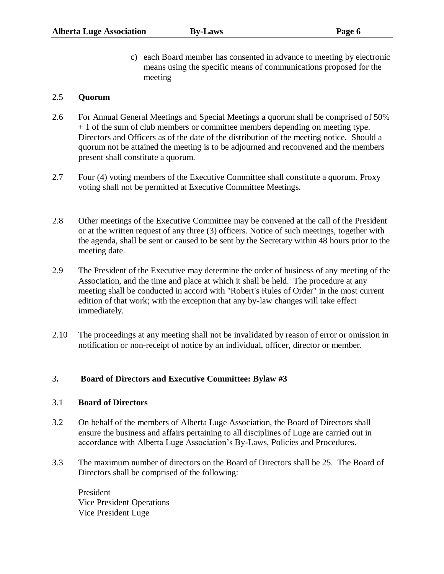c) each Board member has consented in advance to meeting by electronic means using the specific means of communications proposed for the meeting

#### 2.5 **Quorum**

- 2.6 For Annual General Meetings and Special Meetings a quorum shall be comprised of 50% + 1 of the sum of club members or committee members depending on meeting type. Directors and Officers as of the date of the distribution of the meeting notice. Should a quorum not be attained the meeting is to be adjourned and reconvened and the members present shall constitute a quorum.
- 2.7 Four (4) voting members of the Executive Committee shall constitute a quorum. Proxy voting shall not be permitted at Executive Committee Meetings.
- 2.8 Other meetings of the Executive Committee may be convened at the call of the President or at the written request of any three (3) officers. Notice of such meetings, together with the agenda, shall be sent or caused to be sent by the Secretary within 48 hours prior to the meeting date.
- 2.9 The President of the Executive may determine the order of business of any meeting of the Association, and the time and place at which it shall be held. The procedure at any meeting shall be conducted in accord with "Robert's Rules of Order" in the most current edition of that work; with the exception that any by-law changes will take effect immediately.
- 2.10 The proceedings at any meeting shall not be invalidated by reason of error or omission in notification or non-receipt of notice by an individual, officer, director or member.

#### 3**. Board of Directors and Executive Committee: Bylaw #3**

#### 3.1 **Board of Directors**

- 3.2 On behalf of the members of Alberta Luge Association, the Board of Directors shall ensure the business and affairs pertaining to all disciplines of Luge are carried out in accordance with Alberta Luge Association's By-Laws, Policies and Procedures.
- 3.3 The maximum number of directors on the Board of Directors shall be 25. The Board of Directors shall be comprised of the following:

President Vice President Operations Vice President Luge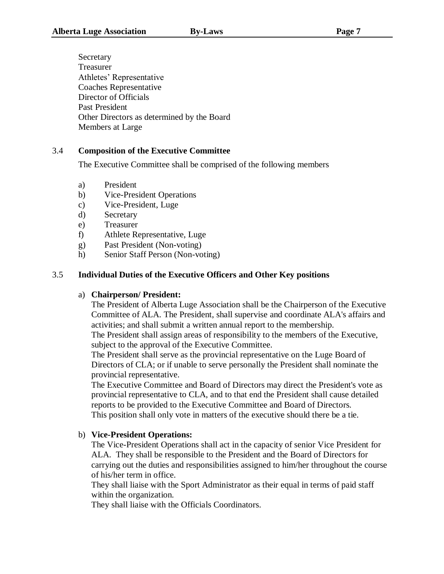**Secretary** Treasurer Athletes' Representative Coaches Representative Director of Officials Past President Other Directors as determined by the Board Members at Large

## 3.4 **Composition of the Executive Committee**

The Executive Committee shall be comprised of the following members

- a) President
- b) Vice-President Operations
- c) Vice-President, Luge
- d) Secretary
- e) Treasurer
- f) Athlete Representative, Luge
- g) Past President (Non-voting)
- h) Senior Staff Person (Non-voting)

## 3.5 **Individual Duties of the Executive Officers and Other Key positions**

#### a) **Chairperson/ President:**

The President of Alberta Luge Association shall be the Chairperson of the Executive Committee of ALA. The President, shall supervise and coordinate ALA's affairs and activities; and shall submit a written annual report to the membership.

The President shall assign areas of responsibility to the members of the Executive, subject to the approval of the Executive Committee.

The President shall serve as the provincial representative on the Luge Board of Directors of CLA; or if unable to serve personally the President shall nominate the provincial representative.

The Executive Committee and Board of Directors may direct the President's vote as provincial representative to CLA, and to that end the President shall cause detailed reports to be provided to the Executive Committee and Board of Directors. This position shall only vote in matters of the executive should there be a tie.

#### b) **Vice-President Operations:**

The Vice-President Operations shall act in the capacity of senior Vice President for ALA. They shall be responsible to the President and the Board of Directors for carrying out the duties and responsibilities assigned to him/her throughout the course of his/her term in office.

They shall liaise with the Sport Administrator as their equal in terms of paid staff within the organization.

They shall liaise with the Officials Coordinators.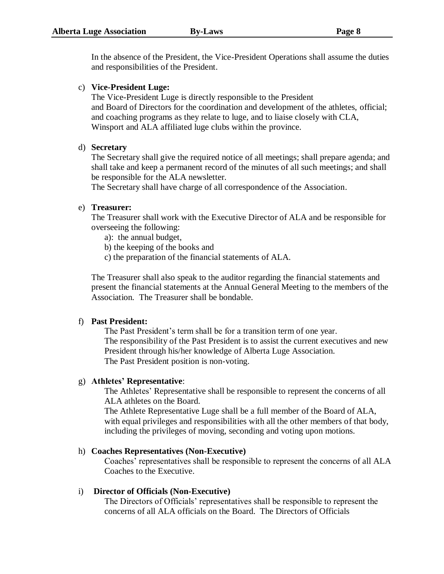In the absence of the President, the Vice-President Operations shall assume the duties and responsibilities of the President.

#### c) **Vice-President Luge:**

The Vice-President Luge is directly responsible to the President and Board of Directors for the coordination and development of the athletes, official; and coaching programs as they relate to luge, and to liaise closely with CLA, Winsport and ALA affiliated luge clubs within the province.

#### d) **Secretary**

The Secretary shall give the required notice of all meetings; shall prepare agenda; and shall take and keep a permanent record of the minutes of all such meetings; and shall be responsible for the ALA newsletter.

The Secretary shall have charge of all correspondence of the Association.

#### e) **Treasurer:**

The Treasurer shall work with the Executive Director of ALA and be responsible for overseeing the following:

a): the annual budget,

b) the keeping of the books and

c) the preparation of the financial statements of ALA.

The Treasurer shall also speak to the auditor regarding the financial statements and present the financial statements at the Annual General Meeting to the members of the Association. The Treasurer shall be bondable.

#### f) **Past President:**

The Past President's term shall be for a transition term of one year. The responsibility of the Past President is to assist the current executives and new President through his/her knowledge of Alberta Luge Association. The Past President position is non-voting.

#### g) **Athletes' Representative**:

The Athletes' Representative shall be responsible to represent the concerns of all ALA athletes on the Board.

The Athlete Representative Luge shall be a full member of the Board of ALA, with equal privileges and responsibilities with all the other members of that body, including the privileges of moving, seconding and voting upon motions.

#### h) **Coaches Representatives (Non-Executive)**

Coaches' representatives shall be responsible to represent the concerns of all ALA Coaches to the Executive.

#### i) **Director of Officials (Non-Executive)**

The Directors of Officials' representatives shall be responsible to represent the concerns of all ALA officials on the Board. The Directors of Officials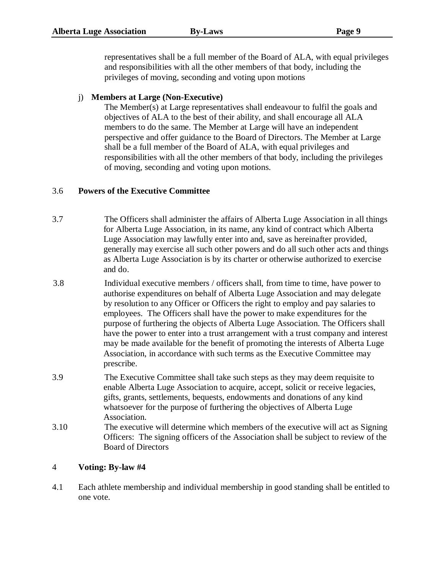representatives shall be a full member of the Board of ALA, with equal privileges and responsibilities with all the other members of that body, including the privileges of moving, seconding and voting upon motions

# j) **Members at Large (Non-Executive)**

The Member(s) at Large representatives shall endeavour to fulfil the goals and objectives of ALA to the best of their ability, and shall encourage all ALA members to do the same. The Member at Large will have an independent perspective and offer guidance to the Board of Directors. The Member at Large shall be a full member of the Board of ALA, with equal privileges and responsibilities with all the other members of that body, including the privileges of moving, seconding and voting upon motions.

# 3.6 **Powers of the Executive Committee**

- 3.7 The Officers shall administer the affairs of Alberta Luge Association in all things for Alberta Luge Association, in its name, any kind of contract which Alberta Luge Association may lawfully enter into and, save as hereinafter provided, generally may exercise all such other powers and do all such other acts and things as Alberta Luge Association is by its charter or otherwise authorized to exercise and do.
- 3.8 Individual executive members / officers shall, from time to time, have power to authorise expenditures on behalf of Alberta Luge Association and may delegate by resolution to any Officer or Officers the right to employ and pay salaries to employees. The Officers shall have the power to make expenditures for the purpose of furthering the objects of Alberta Luge Association. The Officers shall have the power to enter into a trust arrangement with a trust company and interest may be made available for the benefit of promoting the interests of Alberta Luge Association, in accordance with such terms as the Executive Committee may prescribe.
- 3.9 The Executive Committee shall take such steps as they may deem requisite to enable Alberta Luge Association to acquire, accept, solicit or receive legacies, gifts, grants, settlements, bequests, endowments and donations of any kind whatsoever for the purpose of furthering the objectives of Alberta Luge Association.
- 3.10 The executive will determine which members of the executive will act as Signing Officers: The signing officers of the Association shall be subject to review of the Board of Directors

# 4 **Voting: By-law #4**

4.1 Each athlete membership and individual membership in good standing shall be entitled to one vote.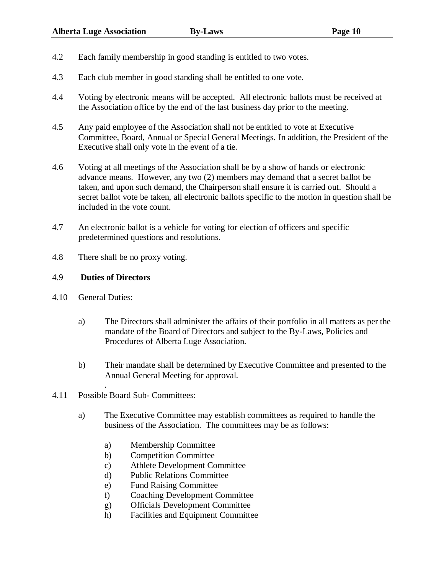- 4.2 Each family membership in good standing is entitled to two votes.
- 4.3 Each club member in good standing shall be entitled to one vote.
- 4.4 Voting by electronic means will be accepted. All electronic ballots must be received at the Association office by the end of the last business day prior to the meeting.
- 4.5 Any paid employee of the Association shall not be entitled to vote at Executive Committee, Board, Annual or Special General Meetings. In addition, the President of the Executive shall only vote in the event of a tie.
- 4.6 Voting at all meetings of the Association shall be by a show of hands or electronic advance means. However, any two (2) members may demand that a secret ballot be taken, and upon such demand, the Chairperson shall ensure it is carried out. Should a secret ballot vote be taken, all electronic ballots specific to the motion in question shall be included in the vote count.
- 4.7 An electronic ballot is a vehicle for voting for election of officers and specific predetermined questions and resolutions.
- 4.8 There shall be no proxy voting.

## 4.9 **Duties of Directors**

- 4.10 General Duties:
	- a) The Directors shall administer the affairs of their portfolio in all matters as per the mandate of the Board of Directors and subject to the By-Laws, Policies and Procedures of Alberta Luge Association.
	- b) Their mandate shall be determined by Executive Committee and presented to the Annual General Meeting for approval.
- . 4.11 Possible Board Sub- Committees:
	- a) The Executive Committee may establish committees as required to handle the business of the Association. The committees may be as follows:
		- a) Membership Committee
		- b) Competition Committee
		- c) Athlete Development Committee
		- d) Public Relations Committee
		- e) Fund Raising Committee
		- f) Coaching Development Committee
		- g) Officials Development Committee
		- h) Facilities and Equipment Committee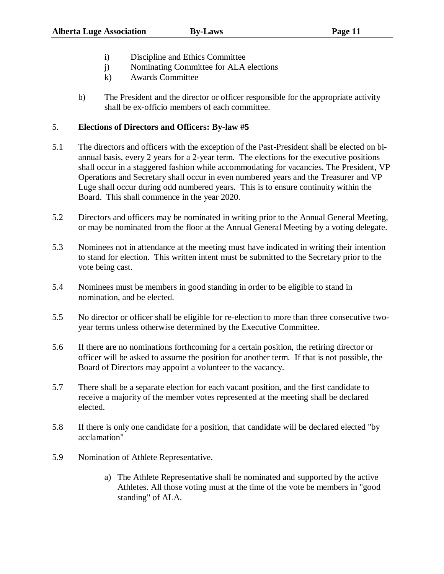- i) Discipline and Ethics Committee
- j) Nominating Committee for ALA elections
- k) Awards Committee
- b) The President and the director or officer responsible for the appropriate activity shall be ex-officio members of each committee.

# 5. **Elections of Directors and Officers: By-law #5**

- 5.1 The directors and officers with the exception of the Past-President shall be elected on biannual basis, every 2 years for a 2-year term. The elections for the executive positions shall occur in a staggered fashion while accommodating for vacancies. The President, VP Operations and Secretary shall occur in even numbered years and the Treasurer and VP Luge shall occur during odd numbered years. This is to ensure continuity within the Board. This shall commence in the year 2020.
- 5.2 Directors and officers may be nominated in writing prior to the Annual General Meeting, or may be nominated from the floor at the Annual General Meeting by a voting delegate.
- 5.3 Nominees not in attendance at the meeting must have indicated in writing their intention to stand for election. This written intent must be submitted to the Secretary prior to the vote being cast.
- 5.4 Nominees must be members in good standing in order to be eligible to stand in nomination, and be elected.
- 5.5 No director or officer shall be eligible for re-election to more than three consecutive twoyear terms unless otherwise determined by the Executive Committee.
- 5.6 If there are no nominations forthcoming for a certain position, the retiring director or officer will be asked to assume the position for another term. If that is not possible, the Board of Directors may appoint a volunteer to the vacancy.
- 5.7 There shall be a separate election for each vacant position, and the first candidate to receive a majority of the member votes represented at the meeting shall be declared elected.
- 5.8 If there is only one candidate for a position, that candidate will be declared elected "by acclamation"
- 5.9 Nomination of Athlete Representative.
	- a) The Athlete Representative shall be nominated and supported by the active Athletes. All those voting must at the time of the vote be members in "good standing" of ALA.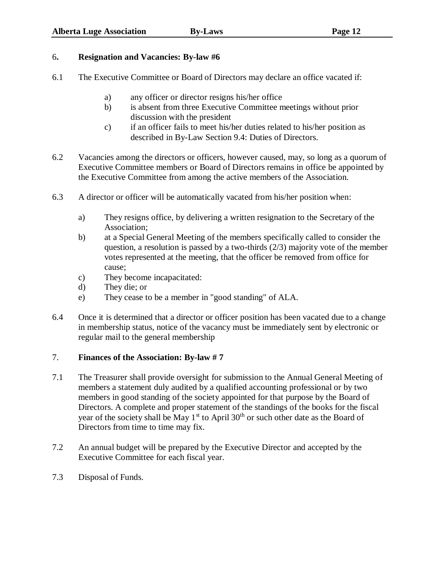### 6**. Resignation and Vacancies: By-law #6**

- 6.1 The Executive Committee or Board of Directors may declare an office vacated if:
	- a) any officer or director resigns his/her office
	- b) is absent from three Executive Committee meetings without prior discussion with the president
	- c) if an officer fails to meet his/her duties related to his/her position as described in By-Law Section 9.4: Duties of Directors.
- 6.2 Vacancies among the directors or officers, however caused, may, so long as a quorum of Executive Committee members or Board of Directors remains in office be appointed by the Executive Committee from among the active members of the Association.
- 6.3 A director or officer will be automatically vacated from his/her position when:
	- a) They resigns office, by delivering a written resignation to the Secretary of the Association;
	- b) at a Special General Meeting of the members specifically called to consider the question, a resolution is passed by a two-thirds (2/3) majority vote of the member votes represented at the meeting, that the officer be removed from office for cause;
	- c) They become incapacitated:
	- d) They die; or
	- e) They cease to be a member in "good standing" of ALA.
- 6.4 Once it is determined that a director or officer position has been vacated due to a change in membership status, notice of the vacancy must be immediately sent by electronic or regular mail to the general membership

#### 7. **Finances of the Association: By-law # 7**

- 7.1 The Treasurer shall provide oversight for submission to the Annual General Meeting of members a statement duly audited by a qualified accounting professional or by two members in good standing of the society appointed for that purpose by the Board of Directors. A complete and proper statement of the standings of the books for the fiscal year of the society shall be May  $1<sup>st</sup>$  to April 30<sup>th</sup> or such other date as the Board of Directors from time to time may fix.
- 7.2 An annual budget will be prepared by the Executive Director and accepted by the Executive Committee for each fiscal year.
- 7.3 Disposal of Funds.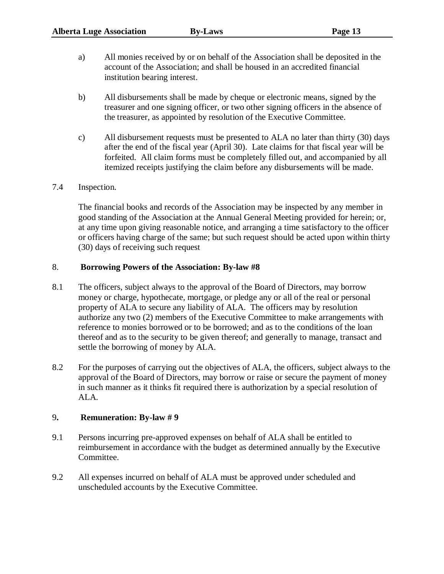- a) All monies received by or on behalf of the Association shall be deposited in the account of the Association; and shall be housed in an accredited financial institution bearing interest.
- b) All disbursements shall be made by cheque or electronic means, signed by the treasurer and one signing officer, or two other signing officers in the absence of the treasurer, as appointed by resolution of the Executive Committee.
- c) All disbursement requests must be presented to ALA no later than thirty (30) days after the end of the fiscal year (April 30). Late claims for that fiscal year will be forfeited. All claim forms must be completely filled out, and accompanied by all itemized receipts justifying the claim before any disbursements will be made.
- 7.4 Inspection.

The financial books and records of the Association may be inspected by any member in good standing of the Association at the Annual General Meeting provided for herein; or, at any time upon giving reasonable notice, and arranging a time satisfactory to the officer or officers having charge of the same; but such request should be acted upon within thirty (30) days of receiving such request

#### 8. **Borrowing Powers of the Association: By-law #8**

- 8.1 The officers, subject always to the approval of the Board of Directors, may borrow money or charge, hypothecate, mortgage, or pledge any or all of the real or personal property of ALA to secure any liability of ALA. The officers may by resolution authorize any two (2) members of the Executive Committee to make arrangements with reference to monies borrowed or to be borrowed; and as to the conditions of the loan thereof and as to the security to be given thereof; and generally to manage, transact and settle the borrowing of money by ALA.
- 8.2 For the purposes of carrying out the objectives of ALA, the officers, subject always to the approval of the Board of Directors, may borrow or raise or secure the payment of money in such manner as it thinks fit required there is authorization by a special resolution of ALA.

#### 9**. Remuneration: By-law # 9**

- 9.1 Persons incurring pre-approved expenses on behalf of ALA shall be entitled to reimbursement in accordance with the budget as determined annually by the Executive Committee.
- 9.2 All expenses incurred on behalf of ALA must be approved under scheduled and unscheduled accounts by the Executive Committee.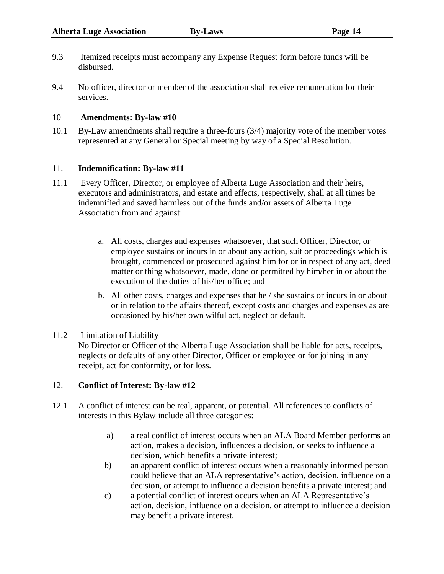- 9.3 Itemized receipts must accompany any Expense Request form before funds will be disbursed.
- 9.4 No officer, director or member of the association shall receive remuneration for their services.

#### 10 **Amendments: By-law #10**

10.1 By-Law amendments shall require a three-fours (3/4) majority vote of the member votes represented at any General or Special meeting by way of a Special Resolution.

#### 11. **Indemnification: By-law #11**

- 11.1 Every Officer, Director, or employee of Alberta Luge Association and their heirs, executors and administrators, and estate and effects, respectively, shall at all times be indemnified and saved harmless out of the funds and/or assets of Alberta Luge Association from and against:
	- a. All costs, charges and expenses whatsoever, that such Officer, Director, or employee sustains or incurs in or about any action, suit or proceedings which is brought, commenced or prosecuted against him for or in respect of any act, deed matter or thing whatsoever, made, done or permitted by him/her in or about the execution of the duties of his/her office; and
	- b. All other costs, charges and expenses that he / she sustains or incurs in or about or in relation to the affairs thereof, except costs and charges and expenses as are occasioned by his/her own wilful act, neglect or default.

#### 11.2 Limitation of Liability

No Director or Officer of the Alberta Luge Association shall be liable for acts, receipts, neglects or defaults of any other Director, Officer or employee or for joining in any receipt, act for conformity, or for loss.

#### 12. **Conflict of Interest: By-law #12**

- 12.1 A conflict of interest can be real, apparent, or potential. All references to conflicts of interests in this Bylaw include all three categories:
	- a) a real conflict of interest occurs when an ALA Board Member performs an action, makes a decision, influences a decision, or seeks to influence a decision, which benefits a private interest;
	- b) an apparent conflict of interest occurs when a reasonably informed person could believe that an ALA representative's action, decision, influence on a decision, or attempt to influence a decision benefits a private interest; and
	- c) a potential conflict of interest occurs when an ALA Representative's action, decision, influence on a decision, or attempt to influence a decision may benefit a private interest.